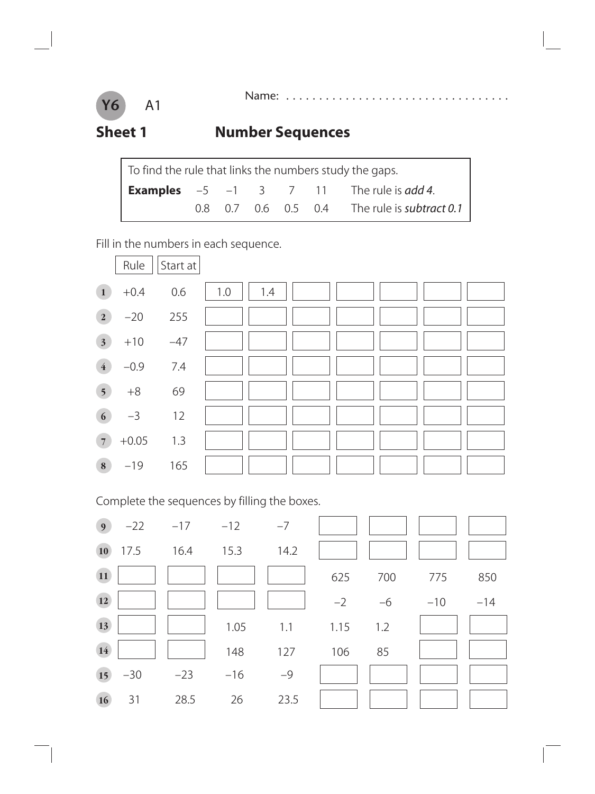#### A1 **Y6**

Name: . . . . . . . . . . . . . . . . . .

#### **Sheet 1 Number Sequences**

| To find the rule that links the numbers study the gaps. |  |  |  |  |  |                                                                   |  |  |
|---------------------------------------------------------|--|--|--|--|--|-------------------------------------------------------------------|--|--|
|                                                         |  |  |  |  |  | <b>Examples</b> $-5$ $-1$ $3$ $7$ $11$ The rule is <i>add 4</i> . |  |  |
|                                                         |  |  |  |  |  | 0.8 0.7 0.6 0.5 0.4 The rule is subtract 0.1                      |  |  |

Fill in the numbers in each sequence.



Complete the sequences by filling the boxes.

| 9 <sub>o</sub> | $-22$ | $-17$ | $-12$ | $-7$ |      |      |       |       |
|----------------|-------|-------|-------|------|------|------|-------|-------|
| 10             | 17.5  | 16.4  | 15.3  | 14.2 |      |      |       |       |
| <b>11</b>      |       |       |       |      | 625  | 700  | 775   | 850   |
| <b>12</b>      |       |       |       |      | $-2$ | $-6$ | $-10$ | $-14$ |
| 13             |       |       | 1.05  | 1.1  | 1.15 | 1.2  |       |       |
| 14             |       |       | 148   | 127  | 106  | 85   |       |       |
| 15             | $-30$ | $-23$ | $-16$ | $-9$ |      |      |       |       |
| 16             | 31    | 28.5  | 26    | 23.5 |      |      |       |       |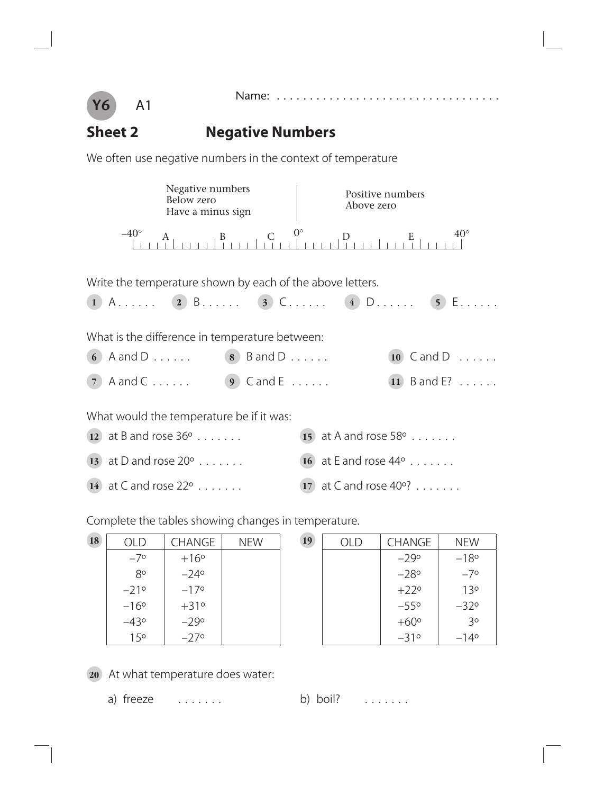



#### **Sheet 2 Negative Numbers**

We often use negative numbers in the context of temperature

| Negative numbers<br><b>Below zero</b><br>Have a minus sign                                  | Positive numbers<br>Above zero           |  |
|---------------------------------------------------------------------------------------------|------------------------------------------|--|
| $-40^\circ$<br>$\mathbf{B}$                                                                 | $0^{\circ}$<br>$40^{\circ}$<br>D         |  |
| Write the temperature shown by each of the above letters.                                   | 1 A (2) B (3) C (4) D (5) E              |  |
| What is the difference in temperature between:<br>6 A and D . $\dots$ (8) B and D $\dots$ . | $(10)$ C and D $\ldots$ .                |  |
| $7$ A and C                                                                                 | $\overline{11}$ B and E?<br>$(9)$ Cand E |  |
| What would the temperature be if it was:                                                    |                                          |  |
| 12 at B and rose $36^{\circ}$                                                               | 15 at A and rose $58^{\circ}$            |  |
| 13 at D and rose $20^{\circ}$                                                               | 16 at E and rose $44^{\circ}$            |  |
| 14 at C and rose $22^{\circ}$                                                               | $(17)$ at C and rose 40°?                |  |

Complete the tables showing changes in temperature.

| 18 | OLD             | <b>CHANGE</b> | <b>NEW</b> | 19 |
|----|-----------------|---------------|------------|----|
|    | $-7^{\circ}$    | $+16°$        |            |    |
|    | 80              | $-24$ °       |            |    |
|    | $-21°$          | $-17$ °       |            |    |
|    | $-16°$          | $+31°$        |            |    |
|    | $-43°$          | $-29°$        |            |    |
|    | 15 <sup>o</sup> | $-27$ °       |            |    |

| 19 | OLD | <b>CHANGE</b> | <b>NEW</b>      |
|----|-----|---------------|-----------------|
|    |     | $-29°$        | $-18°$          |
|    |     | $-28$ °       | $-7^{\circ}$    |
|    |     | $+22^{\circ}$ | 13 <sup>o</sup> |
|    |     | $-55^\circ$   | $-32^\circ$     |
|    |     | $+60^\circ$   | 3 <sup>o</sup>  |
|    |     | $-31°$        | $-14^{\circ}$   |

**20** At what temperature does water:

a) freeze  $\dots \dots$  b) boil?  $\dots \dots$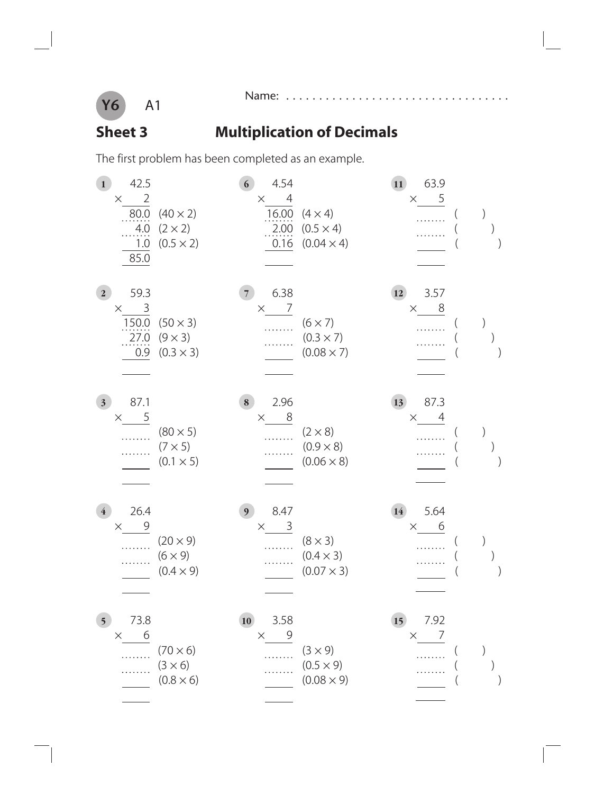

 $\overline{\phantom{a}}$ 

#### Name: . . . . . . . . . . . . . . . . . . . . . . . . . . . . . . . . . .

### **Sheet 3** Multiplication of Decimals

The first problem has been completed as an example.

| 42.5<br>$\mathbf{1}$<br>$\overline{2}$<br>$\times$<br>80.0<br>.4.0<br>1.0<br>85.0 | $(40 \times 2)$<br>$(2 \times 2)$<br>$(0.5 \times 2)$ | $\overline{6}$<br>4.54<br>$\overline{4}$<br>$\times$<br>16.00<br>2.00<br>0.16 | $(4 \times 4)$<br>$(0.5 \times 4)$<br>$(0.04 \times 4)$ | 63.9<br>11)<br>$\times$ 5                |  |
|-----------------------------------------------------------------------------------|-------------------------------------------------------|-------------------------------------------------------------------------------|---------------------------------------------------------|------------------------------------------|--|
| 59.3<br>2 <sub>1</sub><br>3<br>$\times$<br>150.0<br>27.0<br>0.9                   | $(50 \times 3)$<br>$(9 \times 3)$<br>$(0.3 \times 3)$ | 6.38<br>$\overline{7}$<br>7<br>$\times$                                       | $(6 \times 7)$<br>$(0.3 \times 7)$<br>$(0.08 \times 7)$ | 3.57<br>12<br>8<br>$\times$              |  |
| 87.1<br>3 <sub>1</sub><br>5<br>$\times$                                           | $(80 \times 5)$<br>$(7 \times 5)$<br>$(0.1 \times 5)$ | 2.96<br>8<br>8<br>$\times$                                                    | $(2 \times 8)$<br>$(0.9 \times 8)$<br>$(0.06 \times 8)$ | 87.3<br>13<br>$\overline{4}$<br>$\times$ |  |
| 26.4<br>$\overline{4}$<br>9<br>$\times$                                           | $(20 \times 9)$<br>$(6 \times 9)$<br>$(0.4 \times 9)$ | 8.47<br>9 <sup>1</sup><br>3<br>$\times$                                       | $(8 \times 3)$<br>$(0.4 \times 3)$<br>$(0.07 \times 3)$ | 5.64<br>14<br>6<br>X.                    |  |
| 73.8<br>5 <sub>1</sub><br>6<br>$\times$<br>.                                      | $(70 \times 6)$<br>$(3 \times 6)$<br>$(0.8 \times 6)$ | 10<br>3.58<br>$\mathcal{Q}$<br>$\times$                                       | $(3 \times 9)$<br>$(0.5 \times 9)$<br>$(0.08 \times 9)$ | 15<br>7.92<br>7<br>$\times$              |  |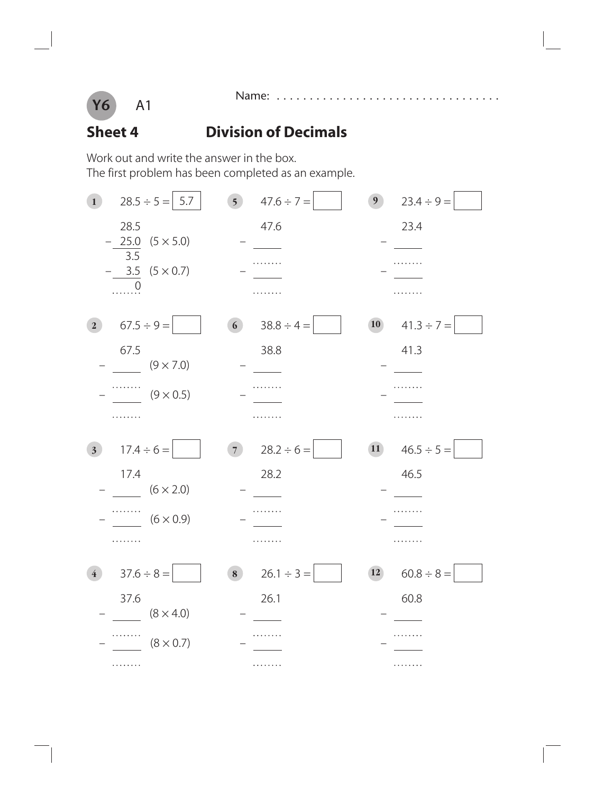

Name: . . . . . . . . . . . . . . . . . . . . . . . . . . . . . . . . . .

#### **Sheet 4 Division of Decimals**

Work out and write the answer in the box. The first problem has been completed as an example.

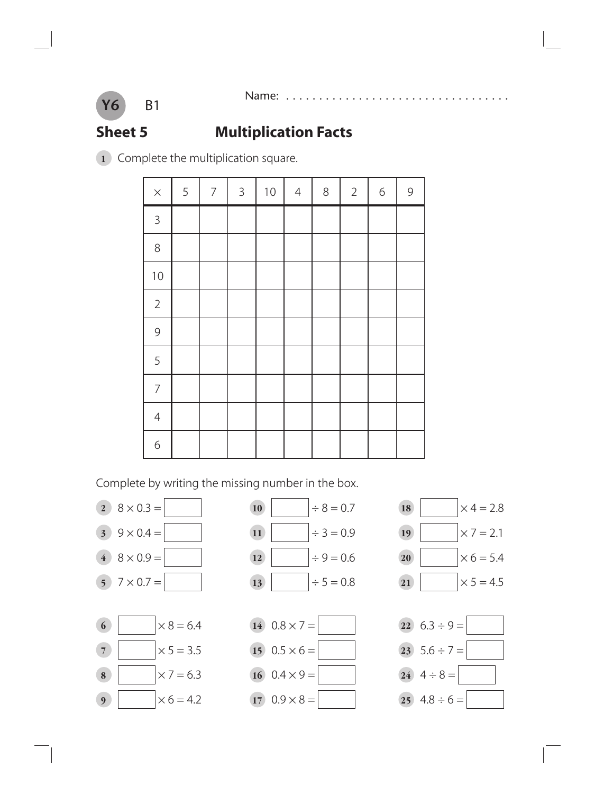

### **Sheet 5 Multiplication Facts**

Complete the multiplication square.

| $\times$       | 5 | $\overline{7}$ | $\mathsf{3}$ | $10$ | $\overline{4}$ | $\,8\,$ | $\overline{2}$ | $\sqrt{6}$ | $\mathcal{G}$ |
|----------------|---|----------------|--------------|------|----------------|---------|----------------|------------|---------------|
| $\mathsf 3$    |   |                |              |      |                |         |                |            |               |
| $8\,$          |   |                |              |      |                |         |                |            |               |
| $10$           |   |                |              |      |                |         |                |            |               |
| $\overline{2}$ |   |                |              |      |                |         |                |            |               |
| $\mathcal{G}$  |   |                |              |      |                |         |                |            |               |
| 5              |   |                |              |      |                |         |                |            |               |
| $\overline{7}$ |   |                |              |      |                |         |                |            |               |
| $\overline{4}$ |   |                |              |      |                |         |                |            |               |
| $\sigma$       |   |                |              |      |                |         |                |            |               |

Complete by writing the missing number in the box.



**Y6**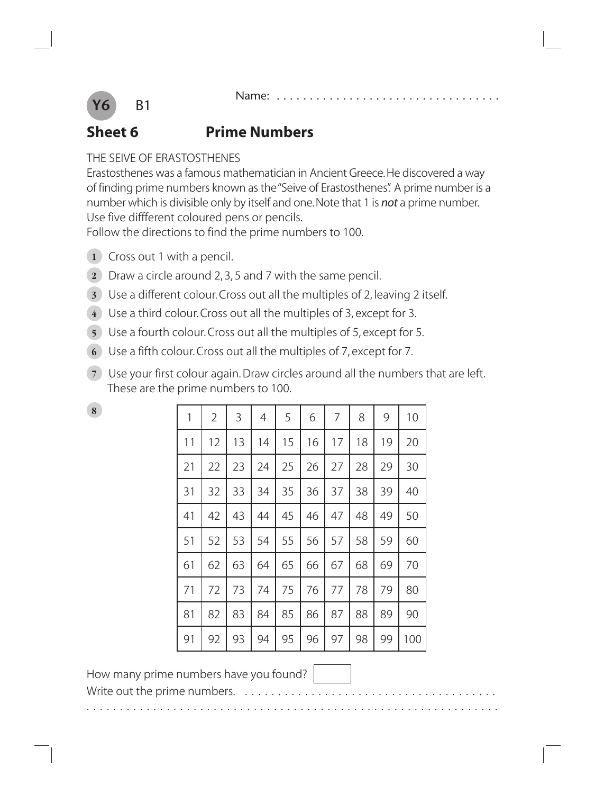

#### **Sheet 6 Prime Numbers**

#### THE SEIVE OF ERASTOSTHENES

Erastosthenes was a famous mathematician in Ancient Greece. He discovered a way of finding prime numbers known as the "Seive of Erastosthenes". A prime number is a number which is divisible only by itself and one. Note that 1 is *not* a prime number. Use five diffferent coloured pens or pencils.

Follow the directions to find the prime numbers to 100.

- **1** Cross out 1 with a pencil.
- **2** Draw a circle around 2, 3, 5 and 7 with the same pencil.
- **3** Use a different colour. Cross out all the multiples of 2, leaving 2 itself.
- **4** Use a third colour. Cross out all the multiples of 3, except for 3.
- **5** Use a fourth colour. Cross out all the multiples of 5, except for 5.
- **6** Use a fifth colour. Cross out all the multiples of 7, except for 7.
- **7** Use your first colour again. Draw circles around all the numbers that are left. These are the prime numbers to 100.

| 8 | 1  | $\overline{2}$ | 3  | 4  | 5  | 6  | 7  | 8  | 9  | 10  |
|---|----|----------------|----|----|----|----|----|----|----|-----|
|   | 11 | 12             | 13 | 14 | 15 | 16 | 17 | 18 | 19 | 20  |
|   | 21 | 22             | 23 | 24 | 25 | 26 | 27 | 28 | 29 | 30  |
|   | 31 | 32             | 33 | 34 | 35 | 36 | 37 | 38 | 39 | 40  |
|   | 41 | 42             | 43 | 44 | 45 | 46 | 47 | 48 | 49 | 50  |
|   | 51 | 52             | 53 | 54 | 55 | 56 | 57 | 58 | 59 | 60  |
|   | 61 | 62             | 63 | 64 | 65 | 66 | 67 | 68 | 69 | 70  |
|   | 71 | 72             | 73 | 74 | 75 | 76 | 77 | 78 | 79 | 80  |
|   | 81 | 82             | 83 | 84 | 85 | 86 | 87 | 88 | 89 | 90  |
|   | 91 | 92             | 93 | 94 | 95 | 96 | 97 | 98 | 99 | 100 |

How many prime numbers have you found?

Write out the prime numbers.  $\dots \dots \dots \dots$ 

. . . . . . . . . . . . . . . . . . . . . . . . . . . . . . . . . . . . . . . . . . . . . . . . . . . . . . . . . . . . . .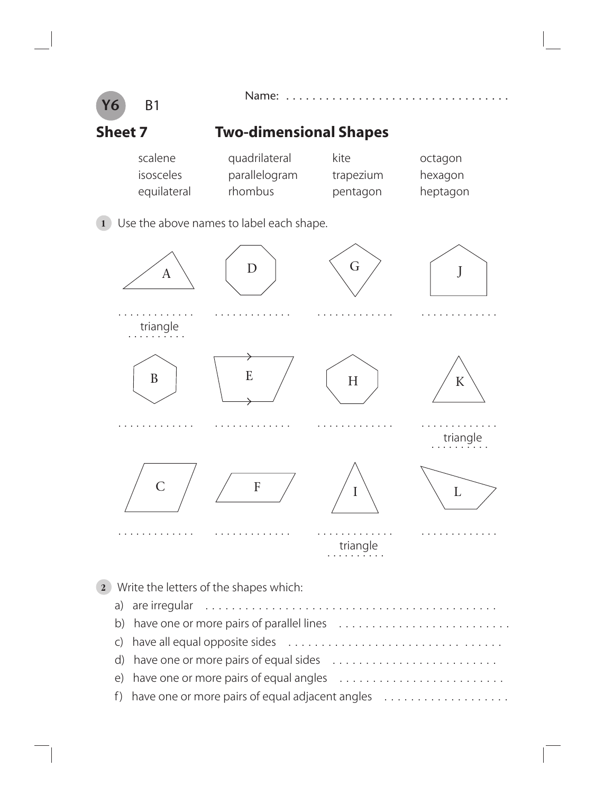

d) have one or more pairs of equal sides . . . . . . . . . . . . . . .

e) have one or more pairs of equal angles . . . . . . . . . . . . . . . . . . . . . . . . .

f ) have one or more pairs of equal adjacent angles . . . . . . . . . . . . . . . . . . .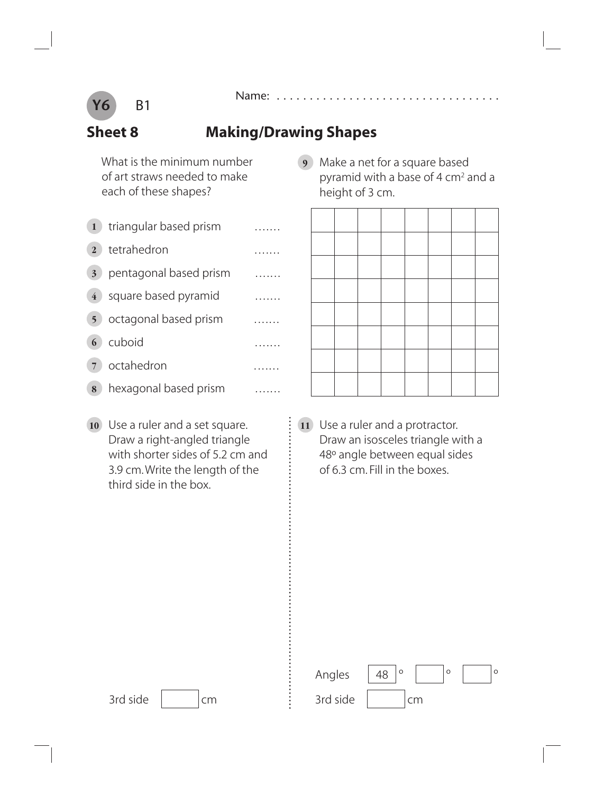

#### **Sheet 8 Making/Drawing Shapes**

 What is the minimum number of art straws needed to make each of these shapes?

- 1 triangular based prism ........ **2** tetrahedron ....... **3** pentagonal based prism ....... **4** square based pyramid ....... **5** octagonal based prism ....... **6** cuboid ....... **7** octahedron ....... **8** hexagonal based prism .......
- **10** Use a ruler and a set square. Draw a right-angled triangle with shorter sides of 5.2 cm and 3.9 cm. Write the length of the third side in the box.

**9** Make a net for a square based pyramid with a base of 4 cm<sup>2</sup> and a height of 3 cm.



**11** Use a ruler and a protractor. Draw an isosceles triangle with a 48º angle between equal sides of 6.3 cm. Fill in the boxes.

| Angles   |  |    |  |  |
|----------|--|----|--|--|
| 3rd side |  | cm |  |  |

 $3rd side$   $\vert$   $\vert$  cm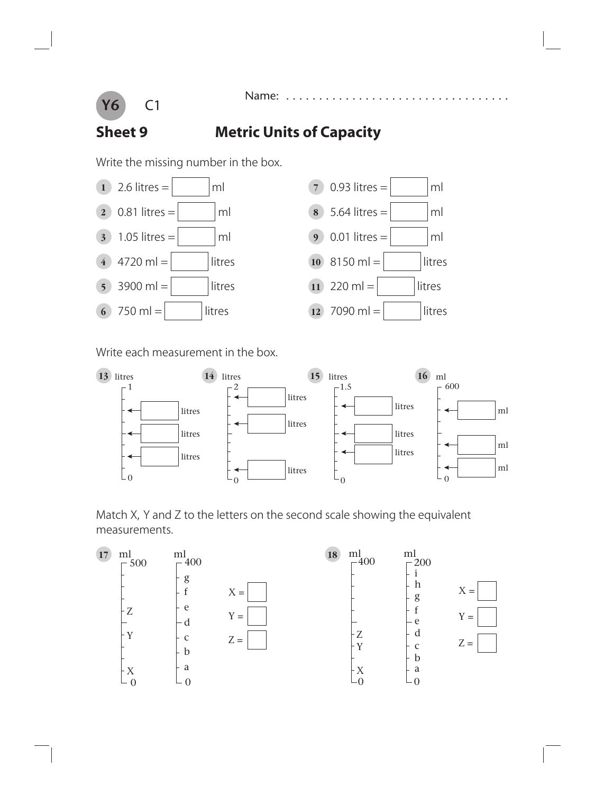

#### Name: . . . . . . . .

### **Sheet 9 Metric Units of Capacity**

Write the missing number in the box.



Write each measurement in the box.



Match X, Y and Z to the letters on the second scale showing the equivalent measurements.

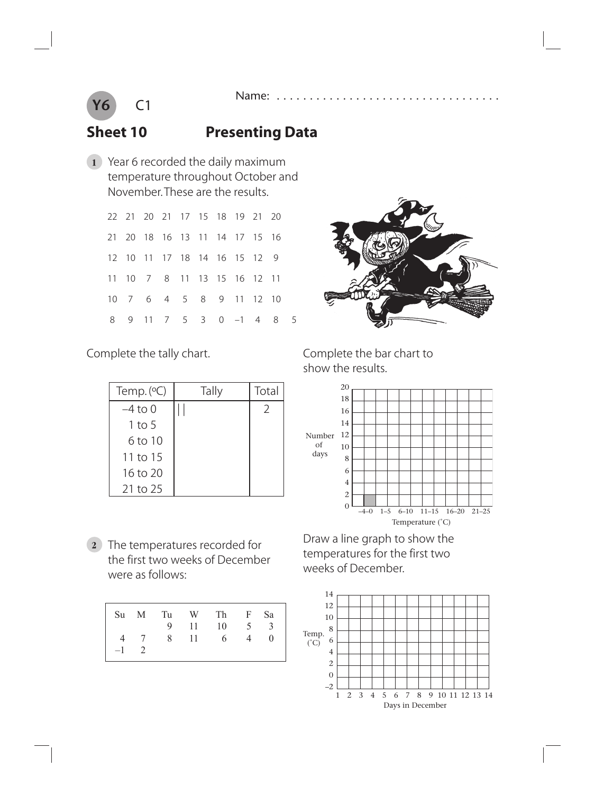



#### **Sheet 10 Presenting Data**

**1** Year 6 recorded the daily maximum temperature throughout October and November. These are the results.

|  |  | 22 21 20 21 17 15 18 19 21 20 |  |                         |  |
|--|--|-------------------------------|--|-------------------------|--|
|  |  | 21 20 18 16 13 11 14 17 15 16 |  |                         |  |
|  |  | 12 10 11 17 18 14 16 15 12 9  |  |                         |  |
|  |  | 11 10 7 8 11 13 15 16 12 11   |  |                         |  |
|  |  | 10 7 6 4 5 8 9 11 12 10       |  |                         |  |
|  |  |                               |  | 8 9 11 7 5 3 0 -1 4 8 5 |  |



Complete the tally chart.

| Temp. $(°C)$ | Tally | Total          |
|--------------|-------|----------------|
| $-4$ to 0    |       | $\overline{2}$ |
| 1 to 5       |       |                |
| 6 to 10      |       |                |
| 11 to 15     |       |                |
| 16 to 20     |       |                |
| 21 to 25     |       |                |

**2** The temperatures recorded for the first two weeks of December were as follows:

|        |  | Su M Tu W Th F Sa $\vert$<br>9 11 10 5 3 |   |                |
|--------|--|------------------------------------------|---|----------------|
| $-1$ 2 |  | 4 7 8 11 6                               | 4 | $\overline{0}$ |

Complete the bar chart to show the results.



 Draw a line graph to show the temperatures for the first two weeks of December.

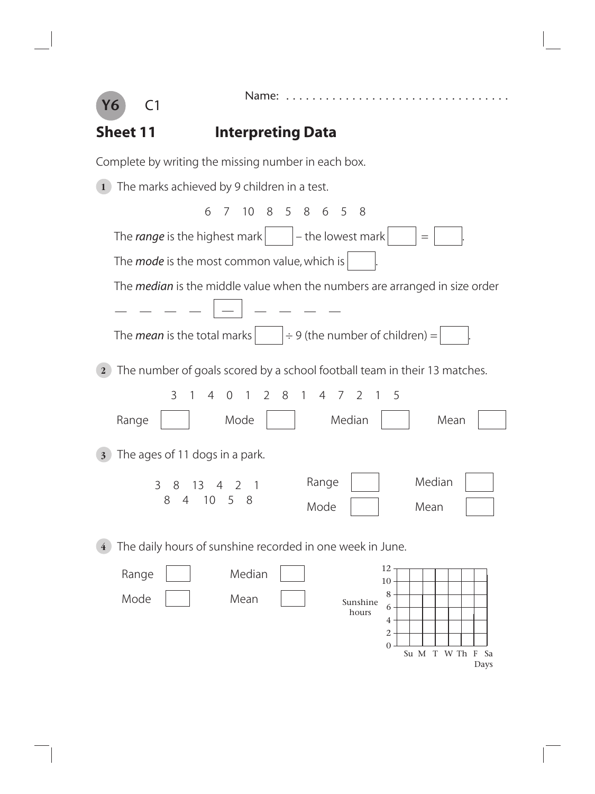

Name: . . . . . . . . . . . . . . .

4 2  $\Omega$ 

Su M T W Th F Sa

Days

# **Sheet 11** Interpreting Data

Complete by writing the missing number in each box.

**1** The marks achieved by 9 children in a test. 6 7 10 8 5 8 6 5 8 The *range* is the highest mark  $\vert \vert$  + the lowest mark  $\vert \vert =$ The *mode* is the most common value, which is The *median* is the middle value when the numbers are arranged in size order — — — — <u>| — |</u> — — — — The *mean* is the total marks  $\left| \begin{array}{c} | \div 9 \end{array} \right|$  (the number of children) = **2** The number of goals scored by a school football team in their 13 matches. 3 1 4 0 1 2 8 1 4 7 2 1 5 Range | | Mode | | Median | | Mean **3** The ages of 11 dogs in a park. **4** The daily hours of sunshine recorded in one week in June. 3 8 13 4 2 1 8 4 10 5 8 Range | | Median Mode | | Mean Range | | Median Mode | | Mean 12 10 8 6 Sunshine hours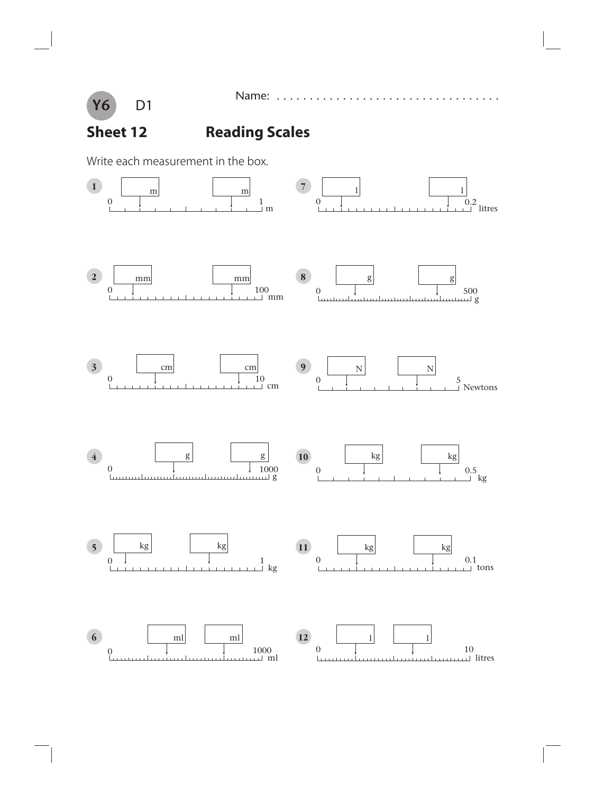

Name: ............

## **Sheet 12 Reading Scales**

Write each measurement in the box.

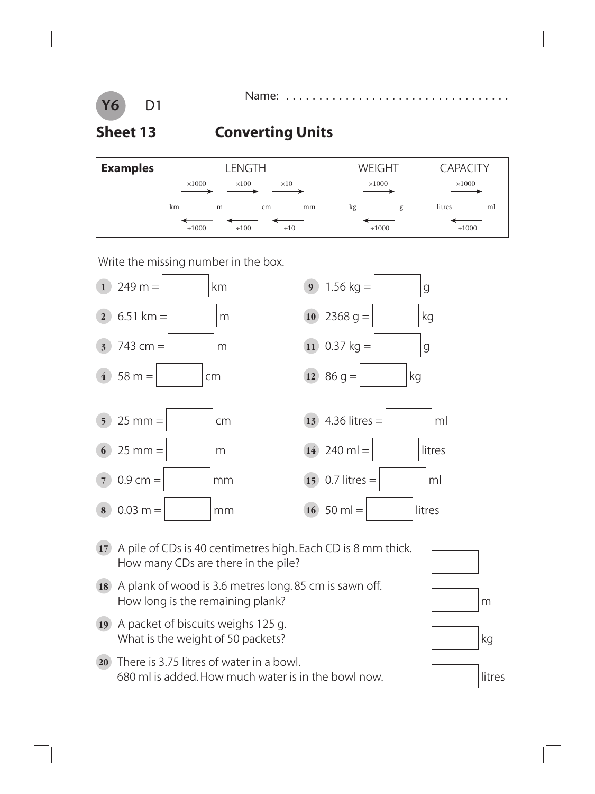#### **Y6** D1

### **Sheet 13 Converting Units**

| <b>Examples</b> |                                              |   | LENGTH     |           |    | WEIGHT        | <b>CAPACITY</b> |    |  |
|-----------------|----------------------------------------------|---|------------|-----------|----|---------------|-----------------|----|--|
|                 | $\times 1000$<br>$\times 100$<br>$\times 10$ |   |            |           |    | $\times 1000$ | $\times 1000$   |    |  |
|                 | km                                           | m | cm         | mm        | kg | g             | litres          | ml |  |
|                 | $\div 1000$                                  |   | $\div 100$ | $\div 10$ |    | $\div 1000$   | $\div 1000$     |    |  |

Write the missing number in the box.



- **17** A pile of CDs is 40 centimetres high. Each CD is 8 mm thick. How many CDs are there in the pile?
- **18** A plank of wood is 3.6 metres long. 85 cm is sawn off. How long is the remaining plank?  $\mathbb{R}^m$
- **19** A packet of biscuits weighs 125 g. What is the weight of 50 packets?  $\vert$  kg
- **20** There is 3.75 litres of water in a bowl. 680 ml is added. How much water is in the bowl now. litres







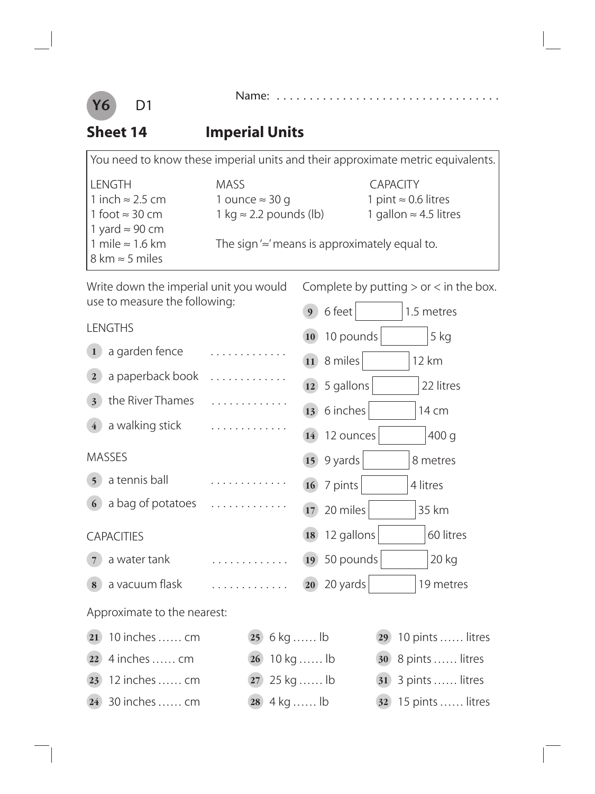



#### **Sheet 14 Imperial Units**

|                                        | You need to know these imperial units and their approximate metric equivalents. |                               |
|----------------------------------------|---------------------------------------------------------------------------------|-------------------------------|
| <b>LENGTH</b>                          | <b>MASS</b>                                                                     | <b>CAPACITY</b>               |
| 1 inch $\approx$ 2.5 cm                | 1 ounce $\approx$ 30 g                                                          | 1 pint $\approx$ 0.6 litres   |
| 1 foot $\approx$ 30 cm                 | 1 kg $\approx$ 2.2 pounds (lb)                                                  | 1 gallon $\approx$ 4.5 litres |
| 1 yard $\approx$ 90 cm                 |                                                                                 |                               |
| 1 mile $\approx$ 1.6 km                | The sign $\approx$ means is approximately equal to.                             |                               |
| $8 \text{ km} \approx 5 \text{ miles}$ |                                                                                 |                               |

Write down the imperial unit you would use to measure the following:

Complete by putting  $>$  or  $<$  in the box.

| use to measure the following:      |                 | 6 feet<br>9 <sup>1</sup> | 1.5 metres       |
|------------------------------------|-----------------|--------------------------|------------------|
| <b>LENGTHS</b>                     |                 | 10 10 pounds             | 5 kg             |
| a garden fence<br>$\mathbf{1}$     | .               | 11 8 miles               | 12 km            |
| a paperback book<br>2 <sup>1</sup> | . . <b>.</b>    | 12                       | 22 litres        |
| the River Thames<br>3 <sup>1</sup> | .               | 5 gallons                |                  |
| a walking stick<br>$\overline{4}$  | .               | 13 6 inches              | 14 cm            |
|                                    |                 | 14 12 ounces             | 400 g            |
| <b>MASSES</b>                      |                 | 15 9 yards               | 8 metres         |
| a tennis ball<br>5 <sup>1</sup>    | .               | $16$ 7 pints             | 4 litres         |
| a bag of potatoes<br>6             | .               | 20 miles<br>17           | 35 km            |
| <b>CAPACITIES</b>                  |                 | 12 gallons<br>18         | 60 litres        |
| a water tank<br>$\overline{7}$     | .               | 19 50 pounds             | 20 kg            |
| a vacuum flask<br>8                | .               | $20$ 20 yards            | 19 metres        |
| Approximate to the nearest:        |                 |                          |                  |
| 10 inches  cm<br>21                | $(25)$ 6 kg  lb | 29                       | 10 pints  litres |
| 4 inches  cm<br>22)                | 26              | 10 kg  lb<br>30          | 8 pints  litres  |
| 12 inches  cm<br>23                | 27              | 25 kg  lb<br>31          | 3 pints  litres  |
| 30 inches  cm<br>24 <sup>°</sup>   | $28$ 4 kg  lb   | 32                       | 15 pints  litres |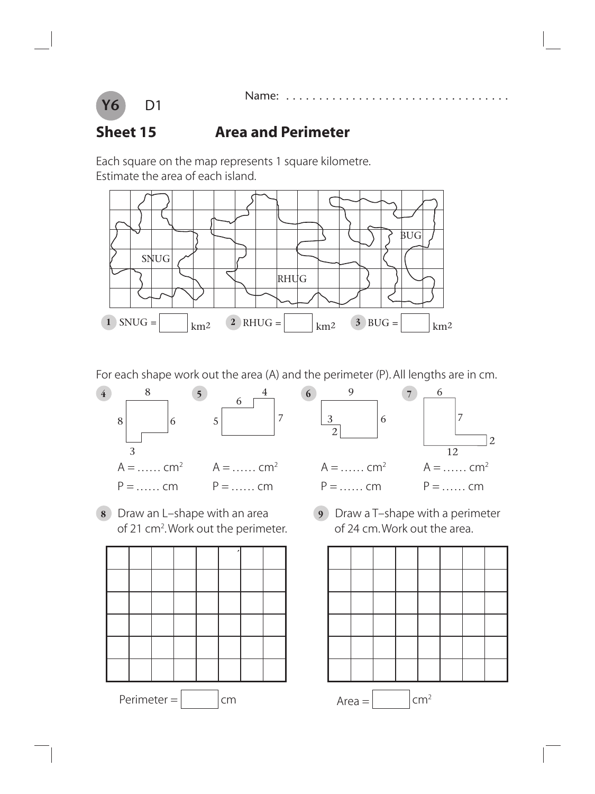

#### **Sheet 15 Area and Perimeter**

Each square on the map represents 1 square kilometre. Estimate the area of each island.



For each shape work out the area (A) and the perimeter (P). All lengths are in cm.



**8** Draw an L–shape with an area **9** Draw a T–shape with a perimeter of 21 cm<sup>2</sup>. Work out the perimeter. The of 24 cm. Work out the area.



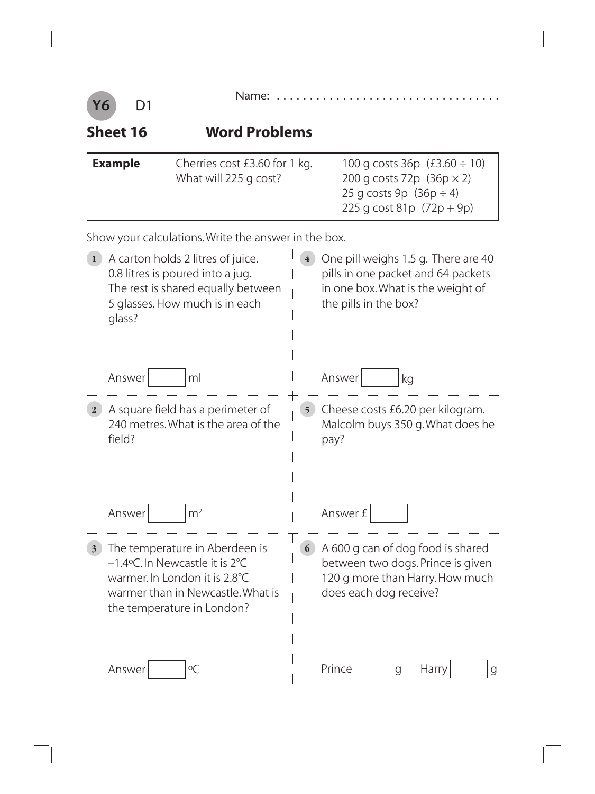|--|--|--|--|--|--|--|--|--|--|--|--|--|--|--|--|--|--|--|--|--|--|--|--|--|--|--|--|--|--|--|--|--|--|--|--|--|--|



#### **Sheet 16 Word Problems**

| <b>Example</b> | Cherries cost £3.60 for 1 kg.<br>What will 225 g cost? | 100 g costs $36p$ (£3.60 ÷ 10)<br>200 g costs 72p $(36p \times 2)$ |
|----------------|--------------------------------------------------------|--------------------------------------------------------------------|
|                |                                                        | 25 g costs 9p $(36p \div 4)$<br>225 g cost 81p $(72p + 9p)$        |

Show your calculations. Write the answer in the box.

| $\mathbf{1}$            | A carton holds 2 litres of juice.<br>0.8 litres is poured into a jug.<br>The rest is shared equally between<br>5 glasses. How much is in each<br>glass?              | $\overline{4}$ | One pill weighs 1.5 g. There are 40<br>pills in one packet and 64 packets<br>in one box. What is the weight of<br>the pills in the box? |
|-------------------------|----------------------------------------------------------------------------------------------------------------------------------------------------------------------|----------------|-----------------------------------------------------------------------------------------------------------------------------------------|
|                         | Answer<br>ml                                                                                                                                                         |                | Answer<br>kg                                                                                                                            |
| $\mathbf{2}$            | A square field has a perimeter of<br>240 metres. What is the area of the<br>field?                                                                                   | 5 <sup>5</sup> | Cheese costs £6.20 per kilogram.<br>Malcolm buys 350 g. What does he<br>pay?                                                            |
|                         | Answer<br>m <sup>2</sup>                                                                                                                                             |                | Answer £                                                                                                                                |
| $\overline{\mathbf{3}}$ | The temperature in Aberdeen is<br>-1.4°C. In Newcastle it is 2°C<br>warmer. In London it is 2.8°C<br>warmer than in Newcastle. What is<br>the temperature in London? | 6              | A 600 g can of dog food is shared<br>between two dogs. Prince is given<br>120 g more than Harry. How much<br>does each dog receive?     |
|                         | $\circ$ C<br>Answer                                                                                                                                                  |                | Prince<br>Harry<br>$\mathsf g$<br>$\mathcal{G}$                                                                                         |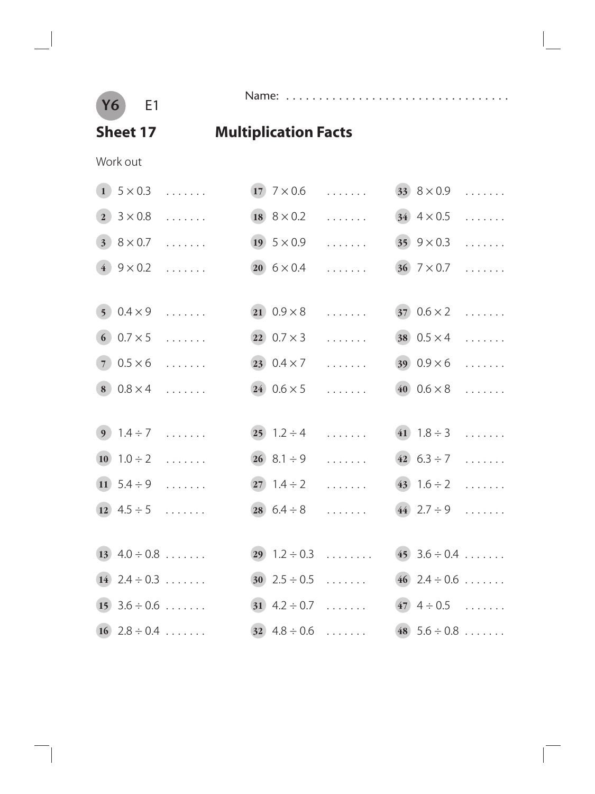**Y6** E1

 $\overline{\phantom{a}}$ 

Name: . . . . . . . . . . . . . . . . . . . . . . . . . . . . . . . . . .

## **Sheet 17 Multiplication Facts**

Work out

|                | $1$ 5 $\times$ 0.3 | .                     | 17 $7 \times 0.6$     | .                                       | $33 \ 8 \times 0.9$   | .      |
|----------------|--------------------|-----------------------|-----------------------|-----------------------------------------|-----------------------|--------|
| $\overline{2}$ | $3 \times 0.8$     | $\cdots$              | 18 $8 \times 0.2$     | $\ldots$                                | 34 $4 \times 0.5$     | $\sim$ |
|                | $3.8 \times 0.7$   | .                     | 19 $5 \times 0.9$     | .                                       | 35 $9 \times 0.3$     | .      |
|                | $(4) 9 \times 0.2$ |                       | $(20)$ 6 $\times$ 0.4 | .                                       | $(36)$ 7 $\times$ 0.7 |        |
|                |                    |                       |                       |                                         |                       |        |
|                | $50.4 \times 9$    | .                     | $(21) 0.9 \times 8$   | .                                       | $370.6 \times 2$      | .      |
|                | $60.7 \times 5$    | $\cdots$              | $(22)$ 0.7 $\times$ 3 | .                                       | $(38)$ 0.5 $\times$ 4 |        |
|                | $70.5 \times 6$    | $\sim$                | $(23) 0.4 \times 7$   |                                         | 39 $0.9 \times 6$     | .      |
|                | $80.8 \times 4$    | $\cdots$              | $24 \ 0.6 \times 5$   | .                                       | 40 $0.6 \times 8$     |        |
|                |                    |                       |                       |                                         |                       |        |
|                | $9 \t1.4 \div 7$   | $\cdots$              | $(25)$ 1.2 ÷ 4        | .                                       | 41 $1.8 \div 3$       | .      |
|                | 10 $1.0 \div 2$    | $\cdots$              | $26$ 8.1 ÷ 9          | .                                       | 42 $6.3 \div 7$       | .      |
|                | 11 $5.4 \div 9$    | $\cdots$              | $27 \quad 1.4 \div 2$ | .                                       | $(43)$ 1.6 ÷ 2        |        |
|                | $(12)$ 4.5 ÷ 5     |                       | 28 $6.4 \div 8$       | .                                       | $(44)$ 2.7 ÷ 9        |        |
|                |                    |                       |                       |                                         |                       |        |
|                | 13 $4.0 \div 0.8$  |                       |                       | $(29)$ 1.2 ÷ 0.3 45 3.6 ÷ 0.4           |                       |        |
|                | $(14)$ 2.4 ÷ 0.3   |                       |                       | $30$ $2.5 \div 0.5$ $46$ $2.4 \div 0.6$ |                       |        |
|                | $15$ 3.6 ÷ 0.6     |                       |                       | 31 $4.2 \div 0.7$ 47 $4 \div 0.5$       |                       |        |
|                |                    | $(16)$ $2.8 \div 0.4$ |                       | 32 $4.8 \div 0.6$ 48 $5.6 \div 0.8$     |                       |        |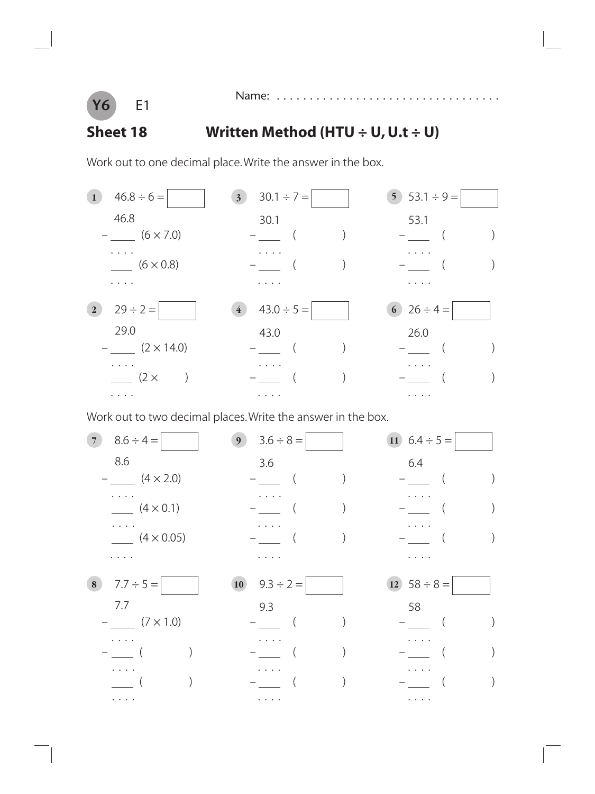

Name: . . . . . . . . . . . . . . . . . . . . . . . . . . . . . . . . . .

#### **Sheet 18 Written Method (HTU ÷ U, U.t ÷ U)**

Work out to one decimal place. Write the answer in the box.



Work out to two decimal places. Write the answer in the box.

**7**  $8.6 \div 4 =$  **9**  $3.6 \div 8 =$  **11**  $6.4 \div 5 =$ 8.6 6.4  $-$  (4 × 2.0)  $-$  ( )  $-$  ( ) . . . . . . . . . . . .  $(4 \times 0.1)$   $-$  ( )  $-$  ( ) . . . . . . . . . . . .  $(4 \times 0.05)$  – ( ) – ( ) . . . . . . . . . . . . **8**  $\begin{array}{|c|c|c|c|c|} \hline 7.7 \div 5 = & 10 & 9.3 \div 2 = & 12 & 58 \div 8 = & 12 \end{array}$  7.7 9.3 58  $-$  (7 × 1.0)  $-$  ( )  $-$  ( ) . . . . . . . . . . . . – \_\_ ( ) – \_\_ ( ) – \_\_ ( ) . . . . . . . . . . . . ——( ) ——( ) ——( )<br>——( ) . . . . . . . . . . . .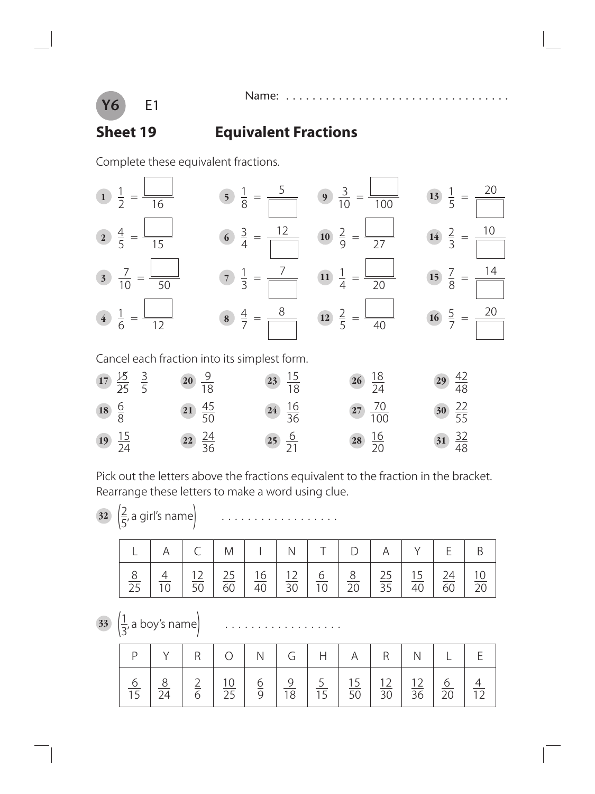

#### **Sheet 19 Equivalent Fractions**

Name: .

Complete these equivalent fractions.



Pick out the letters above the fractions equivalent to the fraction in the bracket. Rearrange these letters to make a word using clue.

 $\frac{2}{5}$ 

, a girl's name) ..................

|                |  | $A \cup C \cup M \cup N \cup T \cup D \cup A \cup Y \cup E$ |  |                                                                                                    |  |                       |                |
|----------------|--|-------------------------------------------------------------|--|----------------------------------------------------------------------------------------------------|--|-----------------------|----------------|
| $\frac{8}{25}$ |  | $\overline{60}$                                             |  | $\frac{16}{2}$ $\frac{12}{30}$ $\frac{6}{10}$ $\frac{8}{20}$ $\frac{25}{25}$ $\frac{15}{5}$ $\leq$ |  | 24<br>$\overline{60}$ | $^{\prime}$ 10 |

 $\frac{33}{3}$ , a boy's name) ..................

|                    |           | $O$   N              |   | $G \mid$                         | H                               | A                                 | R               |                 |                 |  |
|--------------------|-----------|----------------------|---|----------------------------------|---------------------------------|-----------------------------------|-----------------|-----------------|-----------------|--|
| $\overline{\circ}$ | $\bigcap$ | $\overline{2\Gamma}$ | O | $\frac{9}{2}$<br>$\overline{18}$ | $\frac{1}{5}$<br>1 <sub>F</sub> | $\overline{5}$<br>$\overline{50}$ | $\overline{30}$ | $\overline{36}$ | $\overline{20}$ |  |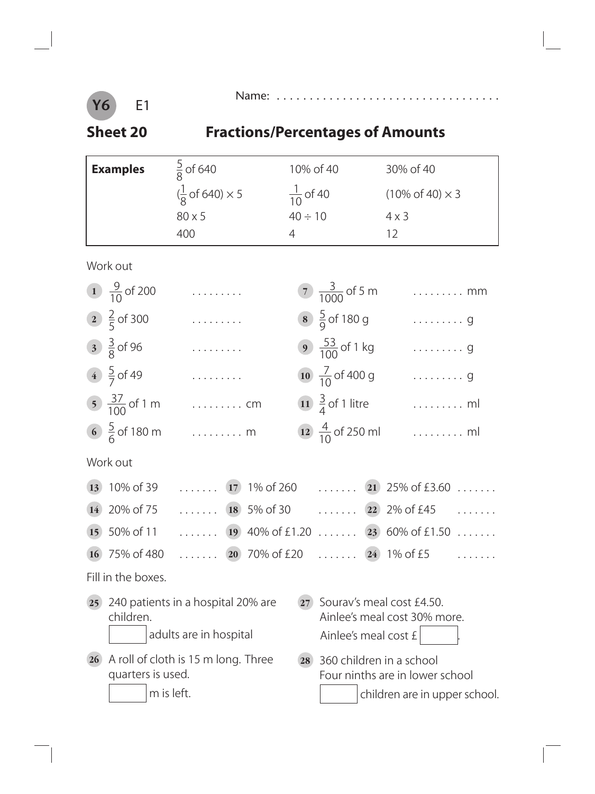#### **Y6** E1

Name: . . . . . . . . . . . . . . . . . . . . . . . . . . . . . . . . . .

# **Sheet 20 Fractions/Percentages of Amounts**

|                 | <b>Examples</b>          | $\frac{5}{8}$ of 640                                         |                                 | 10% of 40                   | 30% of 40                                                   |  |
|-----------------|--------------------------|--------------------------------------------------------------|---------------------------------|-----------------------------|-------------------------------------------------------------|--|
|                 |                          | $(\frac{1}{8}$ of 640) $\times$ 5                            | $\frac{1}{10}$ of 40            |                             | $(10\% \text{ of } 40) \times 3$                            |  |
|                 |                          | 80 x 5                                                       | $40 \div 10$                    |                             | $4 \times 3$                                                |  |
|                 |                          | 400                                                          | 4                               |                             | 12                                                          |  |
|                 | Work out                 |                                                              |                                 |                             |                                                             |  |
|                 | 1 $\frac{9}{10}$ of 200  | .                                                            |                                 | 7 $\frac{3}{1000}$ of 5 m   | $\ldots \ldots \ldots$ mm                                   |  |
|                 | 2 $\frac{2}{5}$ of 300   | .                                                            |                                 | 8 $\frac{5}{9}$ of 180 g    | $\cdots \cdots \cdots g$                                    |  |
|                 | $\frac{3}{8}$ of 96      | .                                                            |                                 | 9 $\frac{53}{100}$ of 1 kg  | . 9                                                         |  |
|                 | 4 $\frac{5}{7}$ of 49    | .                                                            |                                 | 10 $\frac{7}{10}$ of 400 g  | $\cdots \cdots \cdots g$                                    |  |
|                 | $\frac{37}{100}$ of 1 m  | $\ldots \ldots \ldots$ cm                                    |                                 | $\frac{3}{4}$ of 1 litre    | . ml                                                        |  |
|                 | 6 $\frac{5}{6}$ of 180 m | $\ldots \ldots \ldots$ m                                     |                                 | 12 $\frac{4}{10}$ of 250 ml | $\dots\dots\dots$ ml                                        |  |
|                 | Work out                 |                                                              |                                 |                             |                                                             |  |
| 13)             | 10% of 39                | .<br>17)                                                     | 1% of 260                       | .                           | 25% of £3.60<br>$\left( 21\right)$                          |  |
| <b>14</b>       | 20% of 75                | $\ldots \ldots$ (18) 5% of 30                                |                                 | $\cdots \cdots$ 22          | 2% of £45                                                   |  |
| 15              | 50% of 11                |                                                              |                                 |                             | 19 40% of £1.20 23 60% of £1.50                             |  |
| <b>16</b>       | 75% of 480               |                                                              | $\ldots \ldots$ (20) 70% of £20 |                             | $\ldots \ldots$ 24 1% of £5                                 |  |
|                 | Fill in the boxes.       |                                                              |                                 |                             |                                                             |  |
| 25 <sub>1</sub> | children.                | 240 patients in a hospital 20% are<br>adults are in hospital | 27                              | Ainlee's meal cost £        | Sourav's meal cost £4.50.<br>Ainlee's meal cost 30% more.   |  |
| 26              | quarters is used.        | A roll of cloth is 15 m long. Three                          | 28                              |                             | 360 children in a school<br>Four ninths are in lower school |  |
|                 |                          | m is left.                                                   |                                 |                             | children are in upper school.                               |  |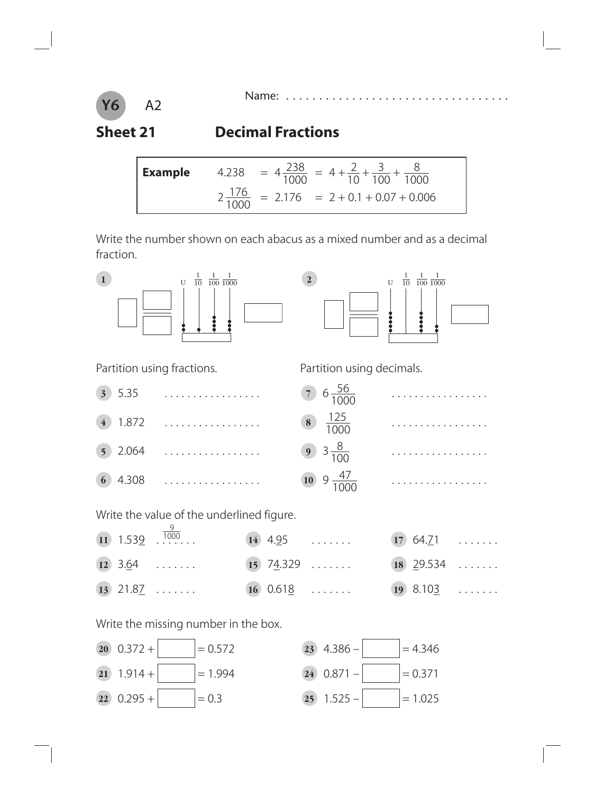

#### **Sheet 21 Decimal Fractions**

**Example** 4.238 = 
$$
4\frac{238}{1000}
$$
 =  $4 + \frac{2}{10} + \frac{3}{100} + \frac{8}{1000}$   
2 $\frac{176}{1000}$  = 2.176 = 2 + 0.1 + 0.07 + 0.006

Write the number shown on each abacus as a mixed number and as a decimal fraction.





| 3) 5.35     | . | $7\frac{56}{100}$                                                    |
|-------------|---|----------------------------------------------------------------------|
| (4) 1.872   | . | $\begin{array}{ c c }\n\hline\n8 & 125 \\ \hline\n1000\n\end{array}$ |
| $(5)$ 2.064 | . | $9 \frac{8}{100}$                                                    |
|             |   | 10 9 $\frac{4}{10}$                                                  |

Partition using fractions. Partition using decimals.



Write the value of the underlined figure.

|  | 11 $1.539$ $\ldots$ $\ldots$      | 14 $4.95$ 17 64.71        |  |
|--|-----------------------------------|---------------------------|--|
|  | 12 $3.64$ 15 $74.329$ 18 $29.534$ |                           |  |
|  | $\overline{13}$ 21.8 <u>7</u>     | $16$ $0.618$ $19$ $8.103$ |  |

Write the missing number in the box.



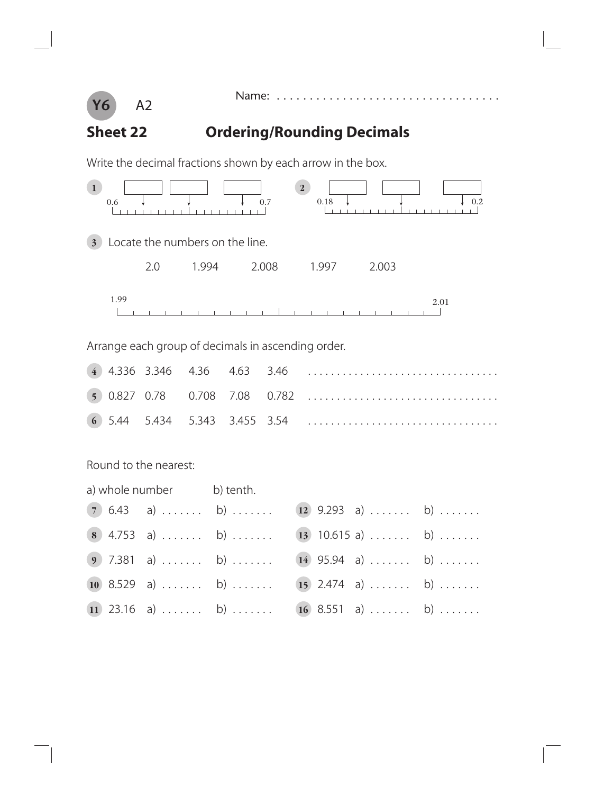

Name: . . . .

## **Sheet 22 Ordering/Rounding Decimals**

Write the decimal fractions shown by each arrow in the box.



**11** 23.16 a)  $\ldots$  . . . . . b)  $\ldots$  . . . . 16 8.551 a)  $\ldots$  . . . . . . b)  $\ldots$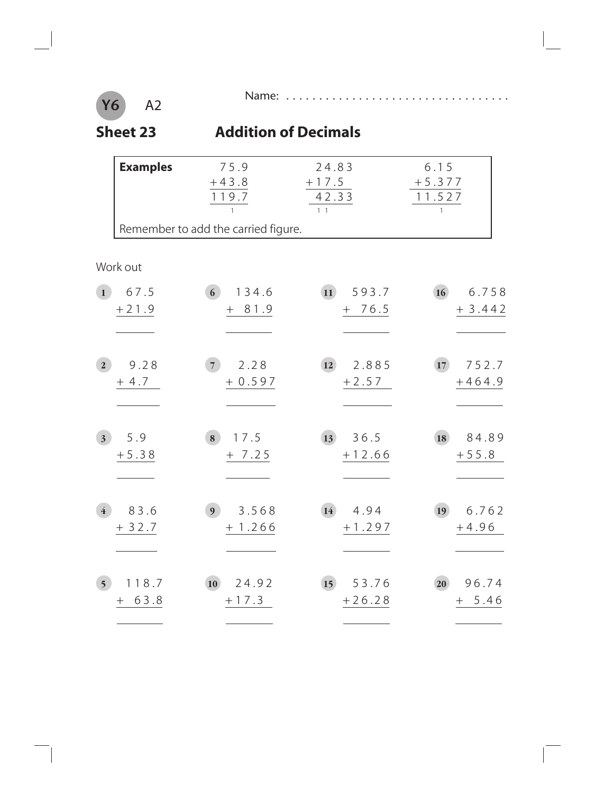

A2

**Y6**

÷,

#### **Sheet 23 Addition of Decimals**

|                | <b>Examples</b>   | 75.9<br>$+43.8$<br>119.7                  | 24.83<br>$+17.5$<br>42.33<br>$1\quad1$ | 6.15<br>$+5.377$<br>11.527<br>$\mathbf{1}$ |
|----------------|-------------------|-------------------------------------------|----------------------------------------|--------------------------------------------|
|                |                   | Remember to add the carried figure.       |                                        |                                            |
|                | Work out          |                                           |                                        |                                            |
| $\mathbf{1}$   | 67.5<br>$+21.9$   | 6 <sup>1</sup><br>134.6<br>81.9<br>$^{+}$ | 593.7<br>$\vert$ 11<br>$+ 76.5$        | 16<br>6.758<br>$+3.442$                    |
| 2 <sup>1</sup> | 9.28<br>$+4.7$    | 2.28<br>7 <sup>1</sup><br>$+0.597$        | 2.885<br>12<br>$+2.57$                 | 752.7<br>17<br>$+464.9$                    |
| 3 <sup>1</sup> | 5.9<br>$+5.38$    | 17.5<br>8<br>$+ 7.25$                     | 36.5<br>13<br>$+12.66$                 | 84.89<br>18<br>$+55.8$                     |
|                | 83.6<br>$+32.7$   | 3.568<br>9 <sup>°</sup><br>$+1.266$       | 4.94<br>14)<br>$+1.297$                | 6.762<br>19<br>$+4.96$                     |
| 5 <sup>5</sup> | 18.7<br>1<br>63.8 | 24.92<br>10<br>$+17.3$                    | 15<br>53.76<br>$+26.28$                | 96.74<br>20<br>5.46<br>$^{+}$              |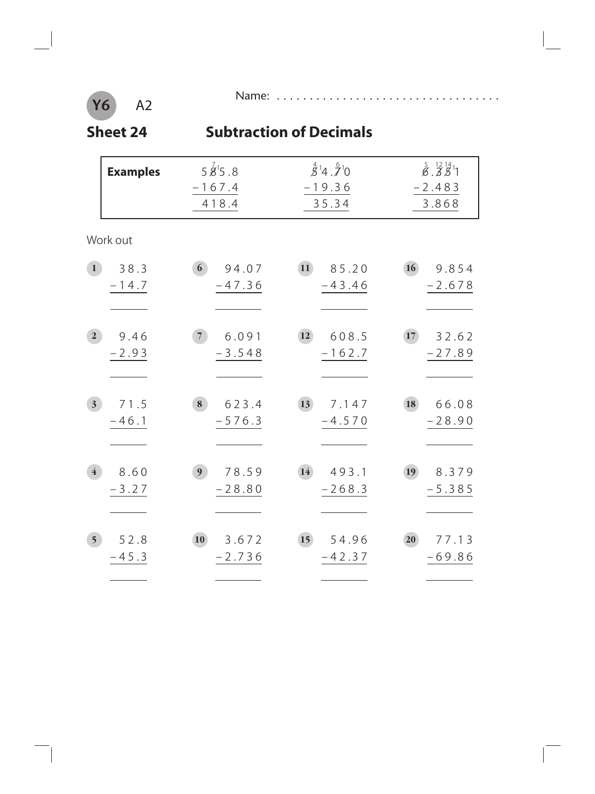#### **Y6** A2

 $\overline{\phantom{a}}$ 

Name: . . . . . . . . . . . . . . . . . . . . . . . . . . . . . . . . . .

#### **Sheet 24 Subtraction of Decimals**

|                         | $5\overline{\cancel{8}}^15.8$<br><b>Examples</b><br>$-167.4$<br>418.4 |                                     | $\overset{4}{\cancel{5}}$ <sup>1</sup> 4. $\overset{6}{\cancel{7}}$ <sup>1</sup> 0<br>$-19.36$<br>35.34 | $\stackrel{5}{\cancel{6}}$ . $\stackrel{12}{\cancel{5}}\stackrel{14}{\cancel{5}}$ <sup>1</sup><br>$-2.483$<br>3.868 |
|-------------------------|-----------------------------------------------------------------------|-------------------------------------|---------------------------------------------------------------------------------------------------------|---------------------------------------------------------------------------------------------------------------------|
|                         | Work out                                                              |                                     |                                                                                                         |                                                                                                                     |
| 1                       | 38.3<br>$-14.7$                                                       | 6 <sup>1</sup><br>94.07<br>$-47.36$ | 11<br>85.20<br>$-43.46$                                                                                 | 16<br>9.854<br>$-2.678$                                                                                             |
| $\overline{2}$          | 9.46<br>$-2.93$                                                       | 6.091<br>7 <sup>1</sup><br>$-3.548$ | 608.5<br>12)<br>$-162.7$                                                                                | 17<br>32.62<br>$-27.89$                                                                                             |
| 3 <sup>1</sup>          | 71.5<br>$-46.1$                                                       | 623.4<br>8<br>$-576.3$              | <b>13</b><br>7.147<br>$-4.570$                                                                          | 18<br>66.08<br>$-28.90$                                                                                             |
| $\overline{\mathbf{4}}$ | 8.60<br>$-3.27$                                                       | 78.59<br>9 <sub>o</sub><br>$-28.80$ | 14<br>493.1<br>$-268.3$                                                                                 | 19<br>8.379<br>$-5.385$                                                                                             |
| 5 <sup>5</sup>          | 52.8<br>$-45.3$                                                       | 3.672<br>10<br>$-2.736$             | 54.96<br>15<br>$-42.37$                                                                                 | 77.13<br>20<br>$-69.86$                                                                                             |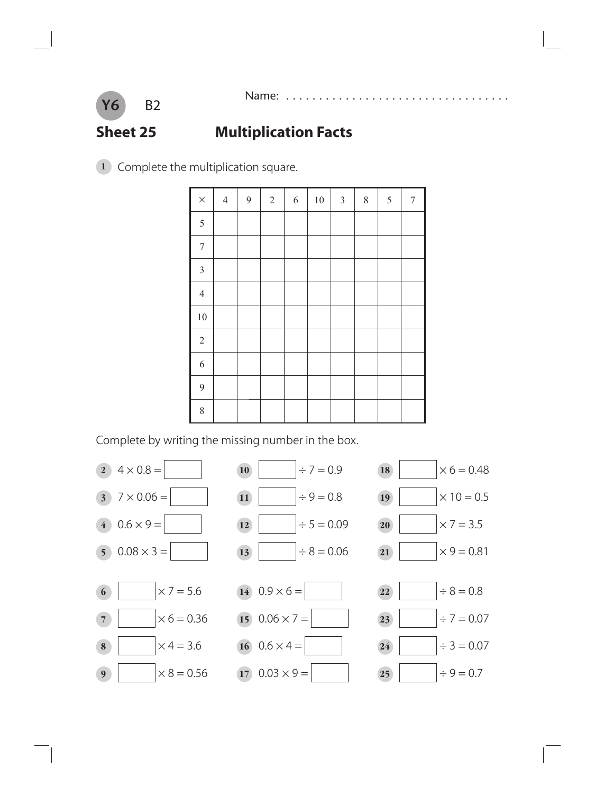

#### **Sheet 25 Multiplication Facts**

Complete the multiplication square.

| $\times$       | $\overline{4}$ | 9 | $\overline{2}$ | $\boldsymbol{6}$ | $10\,$ | $\mathfrak{Z}$ | $8\,$ | $\sqrt{5}$ | $\tau$ |
|----------------|----------------|---|----------------|------------------|--------|----------------|-------|------------|--------|
| 5              |                |   |                |                  |        |                |       |            |        |
| $\sqrt{ }$     |                |   |                |                  |        |                |       |            |        |
| $\mathfrak{Z}$ |                |   |                |                  |        |                |       |            |        |
| $\overline{4}$ |                |   |                |                  |        |                |       |            |        |
| $10\,$         |                |   |                |                  |        |                |       |            |        |
| $\overline{2}$ |                |   |                |                  |        |                |       |            |        |
| 6              |                |   |                |                  |        |                |       |            |        |
| $\overline{9}$ |                |   |                |                  |        |                |       |            |        |
| 8              |                |   |                |                  |        |                |       |            |        |

Complete by writing the missing number in the box.

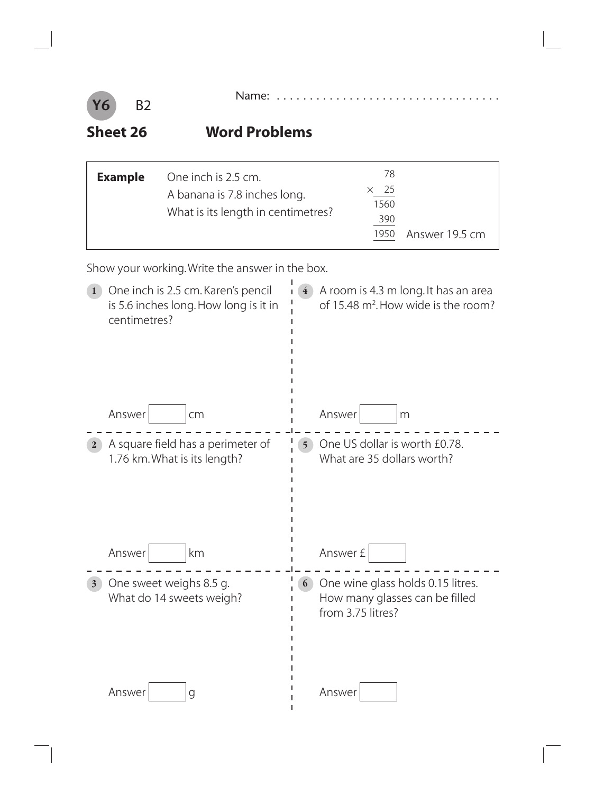

**Sheet 26 Word Problems**

| <b>Example</b> | One inch is 2.5 cm.<br>A banana is 7.8 inches long.<br>What is its length in centimetres? | 78<br>$\times$ 25<br>1560<br>390 |                |
|----------------|-------------------------------------------------------------------------------------------|----------------------------------|----------------|
|                |                                                                                           | 1950                             | Answer 19.5 cm |

Show your working. Write the answer in the box.

|                | One inch is 2.5 cm. Karen's pencil<br>is 5.6 inches long. How long is it in<br>centimetres? |                | A room is 4.3 m long. It has an area<br>of 15.48 m <sup>2</sup> . How wide is the room?  |
|----------------|---------------------------------------------------------------------------------------------|----------------|------------------------------------------------------------------------------------------|
|                | Answer<br>cm                                                                                |                | Answer<br>m                                                                              |
| $\mathbf{2}$   | A square field has a perimeter of<br>1.76 km. What is its length?                           | 5 <sup>1</sup> | One US dollar is worth £0.78.<br>What are 35 dollars worth?                              |
|                | km<br>Answer                                                                                |                | Answer £                                                                                 |
| $\overline{3}$ | One sweet weighs 8.5 g.<br>What do 14 sweets weigh?                                         | 6              | One wine glass holds 0.15 litres.<br>How many glasses can be filled<br>from 3.75 litres? |
|                | Answer<br>g                                                                                 |                | Answer                                                                                   |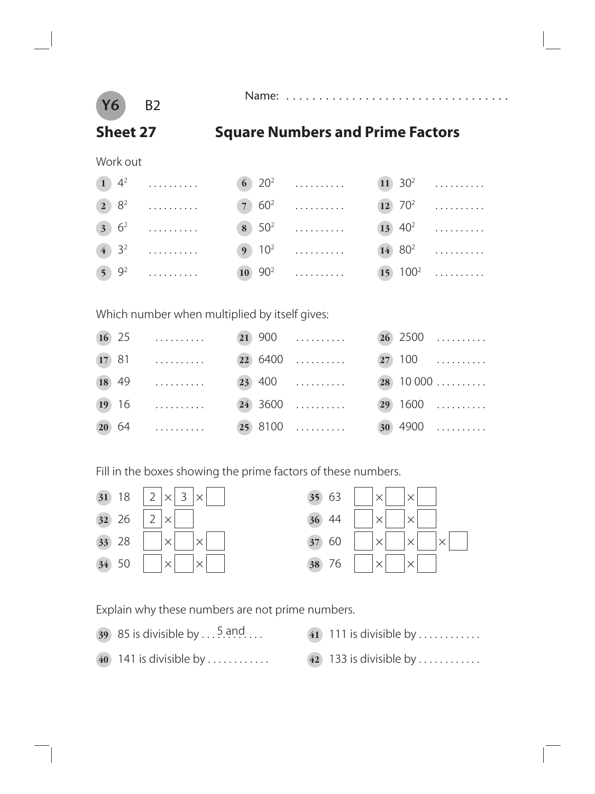

Name: . . . . . . . . . . . . . . . . . . . . . . . . . . . . . . . . . .

#### **Sheet 27 Square Numbers and Prime Factors**

Work out

| (1) $4^2$ (6) $20^2$ (11) $30^2$ |  |  |
|----------------------------------|--|--|
|                                  |  |  |
| (3) $6^2$ (8) $50^2$ (13) $40^2$ |  |  |
|                                  |  |  |
|                                  |  |  |

Which number when multiplied by itself gives:

|       | $16$ 25   |  | $21\,900\qquad \ldots \ldots \ldots$ |  | $26$ 2500     |
|-------|-----------|--|--------------------------------------|--|---------------|
|       | $(17) 81$ |  | $(22)$ 6400                          |  | $27)$ 100     |
| 18 49 |           |  | $(23)$ 400                           |  | $(28)$ 10 000 |
|       | $19$ 16   |  | $(24)$ 3600                          |  | $(29)$ 1600   |
|       | $(20) 64$ |  | $(25)$ 8100                          |  | $30 4900$     |

Fill in the boxes showing the prime factors of these numbers.



Explain why these numbers are not prime numbers.

- 85 is divisible by . . . 5 and . . .
- 141 is divisible by ............ **42** 133 is divisible by ............
- 111 is divisible by ............
	-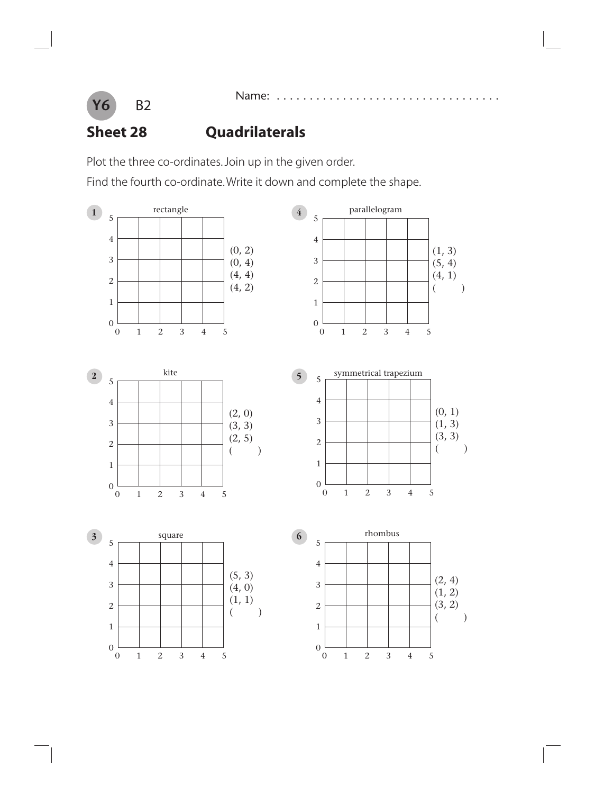

# **Y6** B2

#### **Sheet 28 Quadrilaterals**

Plot the three co-ordinates. Join up in the given order.

Find the fourth co-ordinate. Write it down and complete the shape.

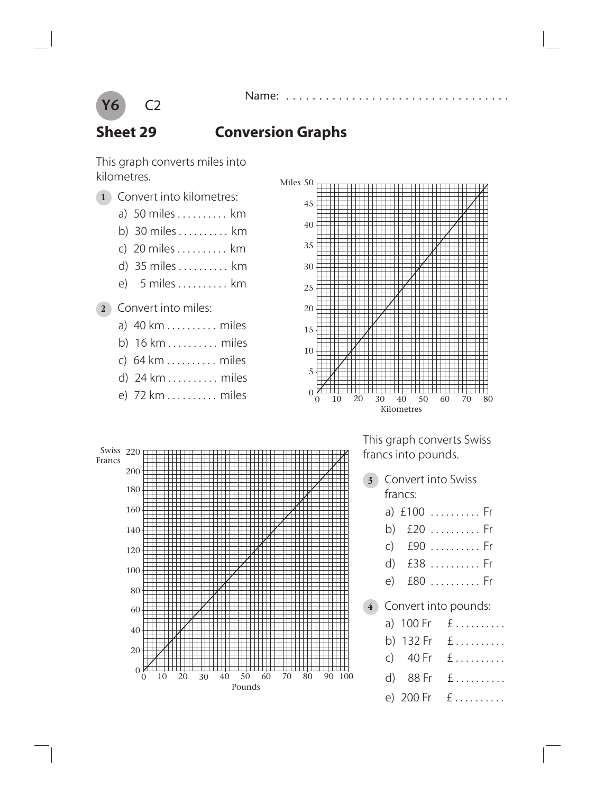

#### **Sheet 29 Conversion Graphs**

This graph converts miles into kilometres.

- **1** Convert into kilometres:
	- a) 50 miles . . . . . . . . . . km
		- b) 30 miles . . . . . . . . . . km
		- c) 20 miles . . . . . . . . . . km
		- d) 35 miles . . . . . . . . . . km
		- e) 5 miles . . . . . . . . . . km
- **2** Convert into miles:
	- a) 40 km . . . . . . . . . . miles
	- b) 16 km . . . . . . . . . . miles
	- c) 64 km . . . . . . . . . . miles
	- d) 24 km . . . . . . . . . . miles
	- e) 72 km . . . . . . . . . . miles





 This graph converts Swiss francs into pounds.

- **3** Convert into Swiss francs:
	- a) £100 . . . . . . . . . . Fr
	- b) £20 . . . . . . . . . . Fr
	- c) £90 . . . . . . . . . . Fr
	- d) £38 . . . . . . . . . . Fr
	- e) £80 . . . . . . . . . . Fr
- **4** Convert into pounds:
	- a) 100 Fr  $f$ ..........
	- b) 132 Fr £ ..........
	- c)  $40 \text{ Fr} \quad \text{E} \dots \dots \dots$
	-
	- e) 200 Fr £ ..........